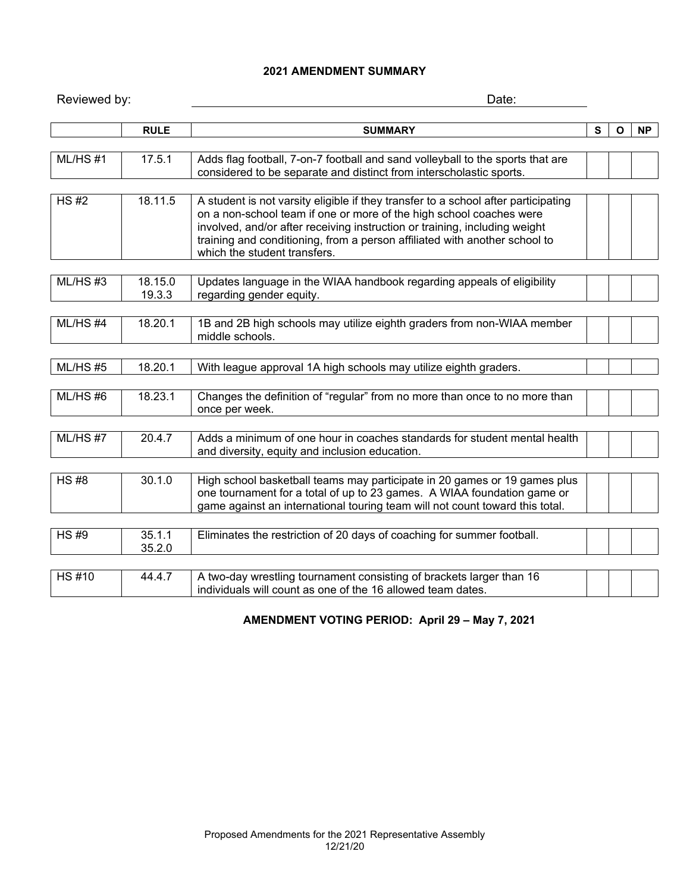## **2021 AMENDMENT SUMMARY**

| Reviewed by: |                   | Date:                                                                                                                                                                                                                                                                                                                                                 |   |              |    |  |
|--------------|-------------------|-------------------------------------------------------------------------------------------------------------------------------------------------------------------------------------------------------------------------------------------------------------------------------------------------------------------------------------------------------|---|--------------|----|--|
|              | <b>RULE</b>       | <b>SUMMARY</b>                                                                                                                                                                                                                                                                                                                                        | S | $\mathbf{o}$ | NP |  |
| $ML/HS$ #1   | 17.5.1            | Adds flag football, 7-on-7 football and sand volleyball to the sports that are<br>considered to be separate and distinct from interscholastic sports.                                                                                                                                                                                                 |   |              |    |  |
| HS H2        | 18.11.5           | A student is not varsity eligible if they transfer to a school after participating<br>on a non-school team if one or more of the high school coaches were<br>involved, and/or after receiving instruction or training, including weight<br>training and conditioning, from a person affiliated with another school to<br>which the student transfers. |   |              |    |  |
| $ML/HS$ #3   | 18.15.0<br>19.3.3 | Updates language in the WIAA handbook regarding appeals of eligibility<br>regarding gender equity.                                                                                                                                                                                                                                                    |   |              |    |  |
| $ML/HS$ #4   | 18.20.1           | 1B and 2B high schools may utilize eighth graders from non-WIAA member<br>middle schools.                                                                                                                                                                                                                                                             |   |              |    |  |
| ML/HS#5      | 18.20.1           | With league approval 1A high schools may utilize eighth graders.                                                                                                                                                                                                                                                                                      |   |              |    |  |
| ML/HS#6      | 18.23.1           | Changes the definition of "regular" from no more than once to no more than<br>once per week.                                                                                                                                                                                                                                                          |   |              |    |  |
| $ML/HS$ #7   | 20.4.7            | Adds a minimum of one hour in coaches standards for student mental health<br>and diversity, equity and inclusion education.                                                                                                                                                                                                                           |   |              |    |  |
| <b>HS#8</b>  | 30.1.0            | High school basketball teams may participate in 20 games or 19 games plus<br>one tournament for a total of up to 23 games. A WIAA foundation game or<br>game against an international touring team will not count toward this total.                                                                                                                  |   |              |    |  |
| <b>HS#9</b>  | 35.1.1<br>35.2.0  | Eliminates the restriction of 20 days of coaching for summer football.                                                                                                                                                                                                                                                                                |   |              |    |  |
| <b>HS#10</b> | 44.4.7            | A two-day wrestling tournament consisting of brackets larger than 16<br>individuals will count as one of the 16 allowed team dates.                                                                                                                                                                                                                   |   |              |    |  |

# **AMENDMENT VOTING PERIOD: April 29 – May 7, 2021**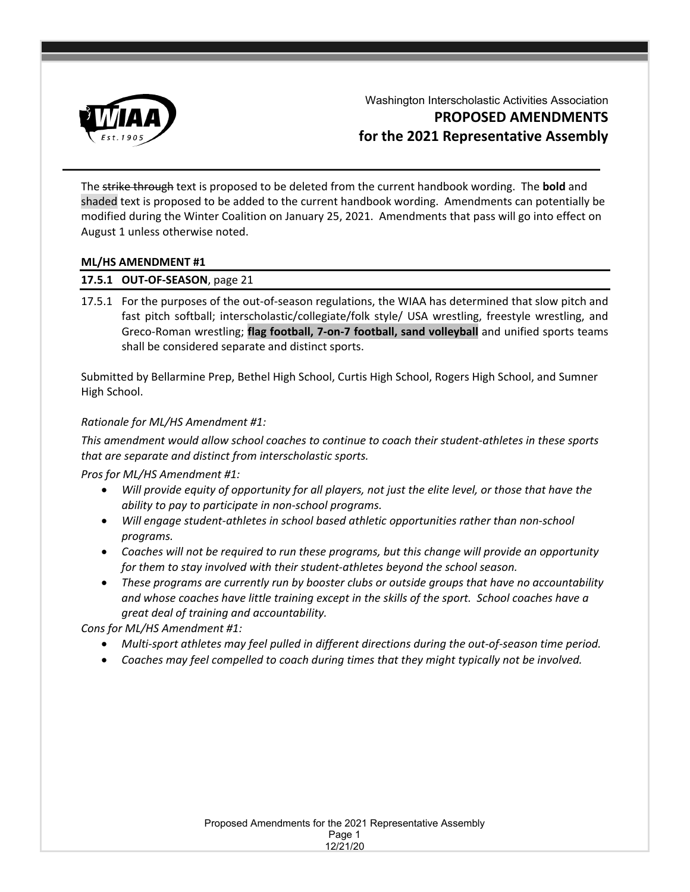

Washington Interscholastic Activities Association **PROPOSED AMENDMENTS for the 2021 Representative Assembly**

The strike through text is proposed to be deleted from the current handbook wording. The **bold** and shaded text is proposed to be added to the current handbook wording. Amendments can potentially be modified during the Winter Coalition on January 25, 2021. Amendments that pass will go into effect on August 1 unless otherwise noted.

## **ML/HS AMENDMENT #1**

## **17.5.1 OUT-OF-SEASON**, page 21

17.5.1 For the purposes of the out-of-season regulations, the WIAA has determined that slow pitch and fast pitch softball; interscholastic/collegiate/folk style/ USA wrestling, freestyle wrestling, and Greco-Roman wrestling; **flag football, 7-on-7 football, sand volleyball** and unified sports teams shall be considered separate and distinct sports.

Submitted by Bellarmine Prep, Bethel High School, Curtis High School, Rogers High School, and Sumner High School.

## *Rationale for ML/HS Amendment #1:*

*This amendment would allow school coaches to continue to coach their student-athletes in these sports that are separate and distinct from interscholastic sports.*

*Pros for ML/HS Amendment #1:* 

- *Will provide equity of opportunity for all players, not just the elite level, or those that have the ability to pay to participate in non-school programs.*
- *Will engage student-athletes in school based athletic opportunities rather than non-school programs.*
- *Coaches will not be required to run these programs, but this change will provide an opportunity for them to stay involved with their student-athletes beyond the school season.*
- *These programs are currently run by booster clubs or outside groups that have no accountability and whose coaches have little training except in the skills of the sport. School coaches have a great deal of training and accountability.*

*Cons for ML/HS Amendment #1:* 

- *Multi-sport athletes may feel pulled in different directions during the out-of-season time period.*
- *Coaches may feel compelled to coach during times that they might typically not be involved.*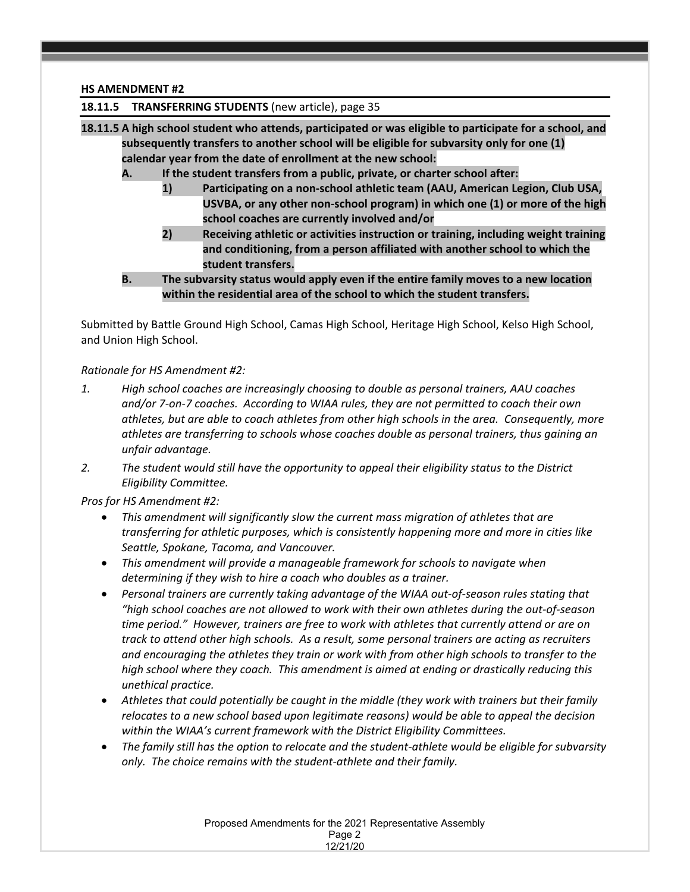### **HS AMENDMENT #2**

### **18.11.5 TRANSFERRING STUDENTS** (new article), page 35

- **18.11.5 A high school student who attends, participated or was eligible to participate for a school, and subsequently transfers to another school will be eligible for subvarsity only for one (1) calendar year from the date of enrollment at the new school:**
	- **A. If the student transfers from a public, private, or charter school after:**
		- **1) Participating on a non-school athletic team (AAU, American Legion, Club USA, USVBA, or any other non-school program) in which one (1) or more of the high school coaches are currently involved and/or**
		- **2) Receiving athletic or activities instruction or training, including weight training and conditioning, from a person affiliated with another school to which the student transfers.**
	- **B. The subvarsity status would apply even if the entire family moves to a new location within the residential area of the school to which the student transfers.**

Submitted by Battle Ground High School, Camas High School, Heritage High School, Kelso High School, and Union High School.

### *Rationale for HS Amendment #2:*

- *1. High school coaches are increasingly choosing to double as personal trainers, AAU coaches and/or 7-on-7 coaches. According to WIAA rules, they are not permitted to coach their own athletes, but are able to coach athletes from other high schools in the area. Consequently, more athletes are transferring to schools whose coaches double as personal trainers, thus gaining an unfair advantage.*
- *2. The student would still have the opportunity to appeal their eligibility status to the District Eligibility Committee.*

*Pros for HS Amendment #2:* 

- *This amendment will significantly slow the current mass migration of athletes that are transferring for athletic purposes, which is consistently happening more and more in cities like Seattle, Spokane, Tacoma, and Vancouver.*
- *This amendment will provide a manageable framework for schools to navigate when determining if they wish to hire a coach who doubles as a trainer.*
- *Personal trainers are currently taking advantage of the WIAA out-of-season rules stating that "high school coaches are not allowed to work with their own athletes during the out-of-season time period." However, trainers are free to work with athletes that currently attend or are on track to attend other high schools. As a result, some personal trainers are acting as recruiters and encouraging the athletes they train or work with from other high schools to transfer to the high school where they coach. This amendment is aimed at ending or drastically reducing this unethical practice.*
- *Athletes that could potentially be caught in the middle (they work with trainers but their family relocates to a new school based upon legitimate reasons) would be able to appeal the decision within the WIAA's current framework with the District Eligibility Committees.*
- *The family still has the option to relocate and the student-athlete would be eligible for subvarsity only. The choice remains with the student-athlete and their family.*

Proposed Amendments for the 2021 Representative Assembly Page 2 12/21/20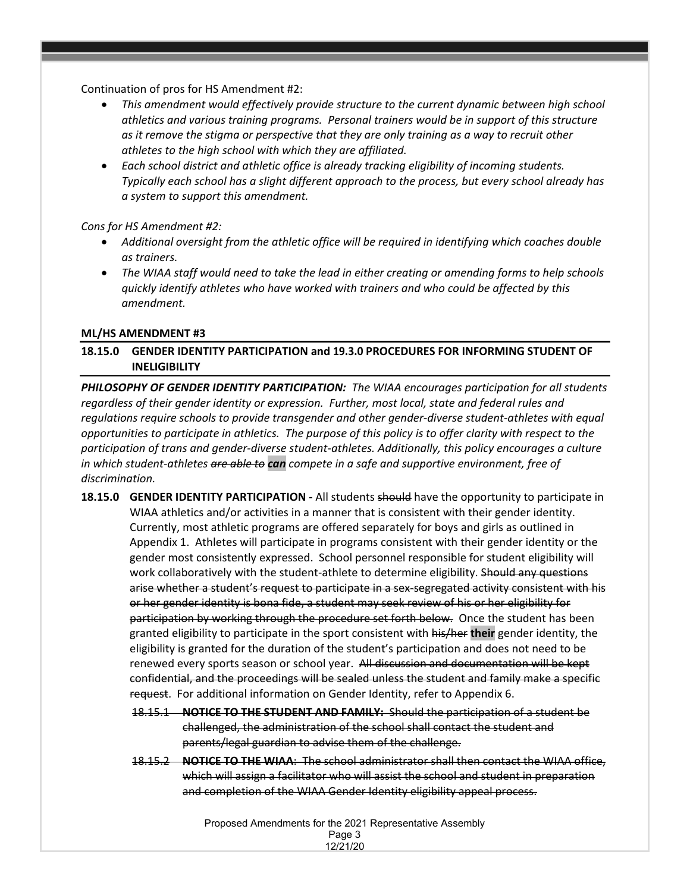Continuation of pros for HS Amendment #2:

- *This amendment would effectively provide structure to the current dynamic between high school athletics and various training programs. Personal trainers would be in support of this structure as it remove the stigma or perspective that they are only training as a way to recruit other athletes to the high school with which they are affiliated.*
- *Each school district and athletic office is already tracking eligibility of incoming students. Typically each school has a slight different approach to the process, but every school already has a system to support this amendment.*

### *Cons for HS Amendment #2:*

- *Additional oversight from the athletic office will be required in identifying which coaches double as trainers.*
- *The WIAA staff would need to take the lead in either creating or amending forms to help schools quickly identify athletes who have worked with trainers and who could be affected by this amendment.*

### **ML/HS AMENDMENT #3**

## **18.15.0 GENDER IDENTITY PARTICIPATION and 19.3.0 PROCEDURES FOR INFORMING STUDENT OF INELIGIBILITY**

*PHILOSOPHY OF GENDER IDENTITY PARTICIPATION: The WIAA encourages participation for all students regardless of their gender identity or expression. Further, most local, state and federal rules and regulations require schools to provide transgender and other gender-diverse student-athletes with equal opportunities to participate in athletics. The purpose of this policy is to offer clarity with respect to the participation of trans and gender-diverse student-athletes. Additionally, this policy encourages a culture in which student-athletes are able to can compete in a safe and supportive environment, free of discrimination.* 

- **18.15.0 GENDER IDENTITY PARTICIPATION -** All students should have the opportunity to participate in WIAA athletics and/or activities in a manner that is consistent with their gender identity. Currently, most athletic programs are offered separately for boys and girls as outlined in Appendix 1. Athletes will participate in programs consistent with their gender identity or the gender most consistently expressed. School personnel responsible for student eligibility will work collaboratively with the student-athlete to determine eligibility. Should any questions arise whether a student's request to participate in a sex-segregated activity consistent with his or her gender identity is bona fide, a student may seek review of his or her eligibility for participation by working through the procedure set forth below. Once the student has been granted eligibility to participate in the sport consistent with his/her **their** gender identity, the eligibility is granted for the duration of the student's participation and does not need to be renewed every sports season or school year. All discussion and documentation will be kept confidential, and the proceedings will be sealed unless the student and family make a specific request. For additional information on Gender Identity, refer to Appendix 6.
	- 18.15.1 **NOTICE TO THE STUDENT AND FAMILY:** Should the participation of a student be challenged, the administration of the school shall contact the student and parents/legal guardian to advise them of the challenge.
	- 18.15.2 **NOTICE TO THE WIAA**: The school administrator shall then contact the WIAA office, which will assign a facilitator who will assist the school and student in preparation and completion of the WIAA Gender Identity eligibility appeal process.

Proposed Amendments for the 2021 Representative Assembly Page 3 12/21/20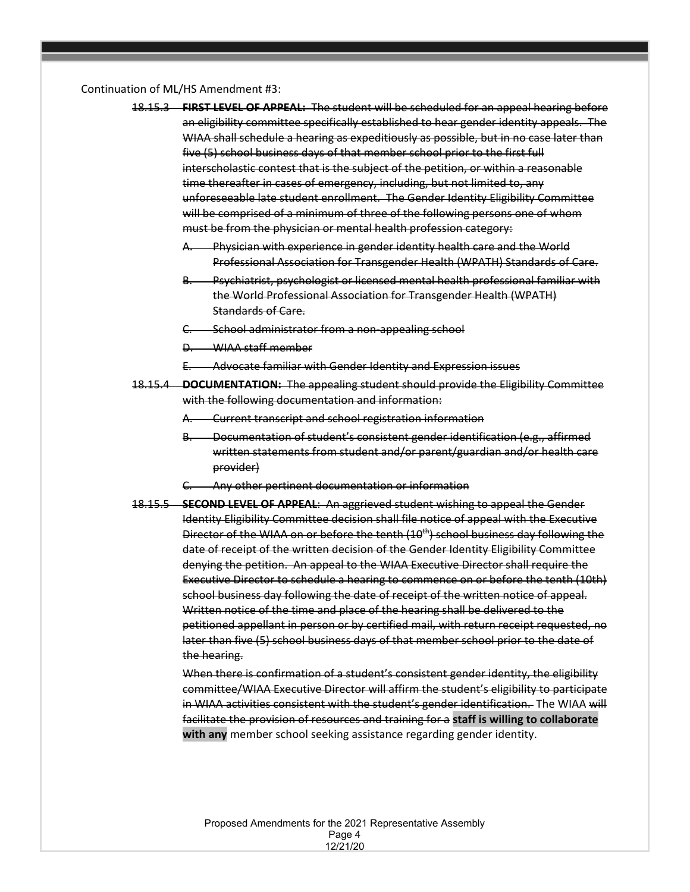#### Continuation of ML/HS Amendment #3:

- 18.15.3 **FIRST LEVEL OF APPEAL:** The student will be scheduled for an appeal hearing before an eligibility committee specifically established to hear gender identity appeals. The WIAA shall schedule a hearing as expeditiously as possible, but in no case later than five (5) school business days of that member school prior to the first full interscholastic contest that is the subject of the petition, or within a reasonable time thereafter in cases of emergency, including, but not limited to, any unforeseeable late student enrollment. The Gender Identity Eligibility Committee will be comprised of a minimum of three of the following persons one of whom must be from the physician or mental health profession category:
	- Physician with experience in gender identity health care and the World Professional Association for Transgender Health (WPATH) Standards of Care.
	- B. Psychiatrist, psychologist or licensed mental health professional familiar with the World Professional Association for Transgender Health (WPATH) Standards of Care.
	- School administrator from a non-appealing school
	- D. WIAA staff member
	- E. Advocate familiar with Gender Identity and Expression issues
- 18.15.4 **DOCUMENTATION:** The appealing student should provide the Eligibility Committee with the following documentation and information:
	- A. Current transcript and school registration information
	- Bocumentation of student's consistent gender identification (e.g., affirmed written statements from student and/or parent/guardian and/or health care provider)
	- Any other pertinent documentation or information
- 18.15.5 **SECOND LEVEL OF APPEAL**: An aggrieved student wishing to appeal the Gender Identity Eligibility Committee decision shall file notice of appeal with the Executive Director of the WIAA on or before the tenth (10<sup>th</sup>) school business day following the date of receipt of the written decision of the Gender Identity Eligibility Committee denying the petition. An appeal to the WIAA Executive Director shall require the Executive Director to schedule a hearing to commence on or before the tenth (10th) school business day following the date of receipt of the written notice of appeal. Written notice of the time and place of the hearing shall be delivered to the petitioned appellant in person or by certified mail, with return receipt requested, no later than five (5) school business days of that member school prior to the date of the hearing.

When there is confirmation of a student's consistent gender identity, the eligibility committee/WIAA Executive Director will affirm the student's eligibility to participate in WIAA activities consistent with the student's gender identification. The WIAA will facilitate the provision of resources and training for a **staff is willing to collaborate with any** member school seeking assistance regarding gender identity.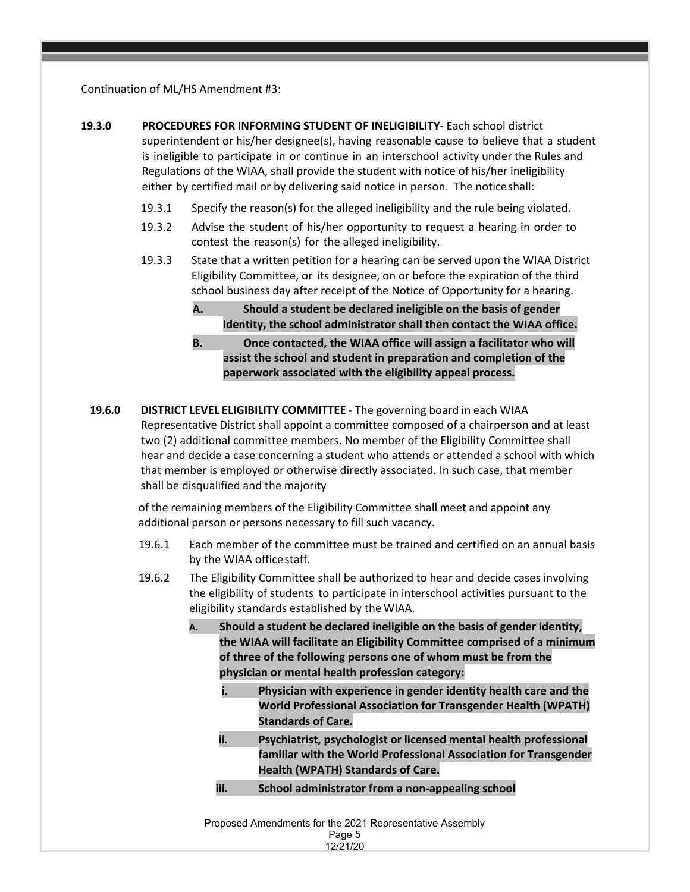Continuation of ML/HS Amendment #3:

- **19.3.0 PROCEDURES FOR INFORMING STUDENT OF INELIGIBILITY** Each school district superintendent or his/her designee(s), having reasonable cause to believe that a student is ineligible to participate in or continue in an interschool activity under the Rules and Regulations of the WIAA, shall provide the student with notice of his/her ineligibility either by certified mail or by delivering said notice in person. The noticeshall:
	- 19.3.1 Specify the reason(s) for the alleged ineligibility and the rule being violated.
	- 19.3.2 Advise the student of his/her opportunity to request a hearing in order to contest the reason(s) for the alleged ineligibility.
	- 19.3.3 State that a written petition for a hearing can be served upon the WIAA District Eligibility Committee, or its designee, on or before the expiration of the third school business day after receipt of the Notice of Opportunity for a hearing.
		- **A. Should a student be declared ineligible on the basis of gender identity, the school administrator shall then contact the WIAA office.**
		- **B. Once contacted, the WIAA office will assign a facilitator who will assist the school and student in preparation and completion of the paperwork associated with the eligibility appeal process.**
	- **19.6.0 DISTRICT LEVEL ELIGIBILITY COMMITTEE** The governing board in each WIAA Representative District shall appoint a committee composed of a chairperson and at least two (2) additional committee members. No member of the Eligibility Committee shall hear and decide a case concerning a student who attends or attended a school with which that member is employed or otherwise directly associated. In such case, that member shall be disqualified and the majority

of the remaining members of the Eligibility Committee shall meet and appoint any additional person or persons necessary to fill such vacancy.

- 19.6.1 Each member of the committee must be trained and certified on an annual basis by the WIAA officestaff.
- 19.6.2 The Eligibility Committee shall be authorized to hear and decide cases involving the eligibility of students to participate in interschool activities pursuant to the eligibility standards established by the WIAA.
	- **A. Should a student be declared ineligible on the basis of gender identity, the WIAA will facilitate an Eligibility Committee comprised of a minimum of three of the following persons one of whom must be from the physician or mental health profession category:**
		- **i. Physician with experience in gender identity health care and the World Professional Association for Transgender Health (WPATH) Standards of Care.**
		- **ii. Psychiatrist, psychologist or licensed mental health professional familiar with the World Professional Association for Transgender Health (WPATH) Standards of Care.**
		- **iii. School administrator from a non-appealing school**

Proposed Amendments for the 2021 Representative Assembly Page 5 12/21/20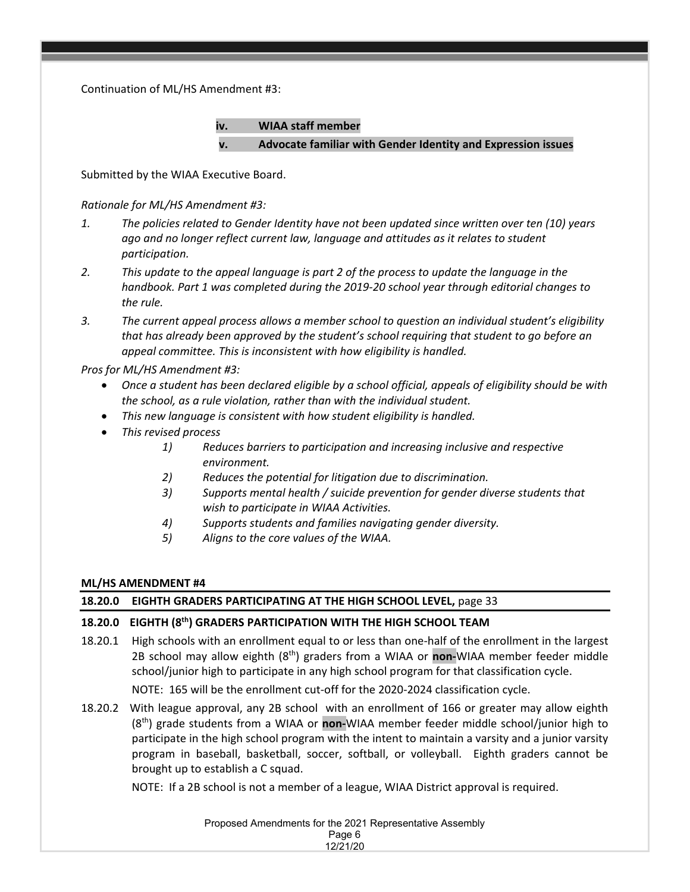Continuation of ML/HS Amendment #3:

**iv. WIAA staff member v. Advocate familiar with Gender Identity and Expression issues**

Submitted by the WIAA Executive Board.

*Rationale for ML/HS Amendment #3:* 

- *1. The policies related to Gender Identity have not been updated since written over ten (10) years ago and no longer reflect current law, language and attitudes as it relates to student participation.*
- *2. This update to the appeal language is part 2 of the process to update the language in the handbook. Part 1 was completed during the 2019-20 school year through editorial changes to the rule.*
- *3. The current appeal process allows a member school to question an individual student's eligibility that has already been approved by the student's school requiring that student to go before an appeal committee. This is inconsistent with how eligibility is handled.*

*Pros for ML/HS Amendment #3:* 

- *Once a student has been declared eligible by a school official, appeals of eligibility should be with the school, as a rule violation, rather than with the individual student.*
- *This new language is consistent with how student eligibility is handled.*
- *This revised process* 
	- *1) Reduces barriers to participation and increasing inclusive and respective environment.*
	- *2) Reduces the potential for litigation due to discrimination.*
	- *3) Supports mental health / suicide prevention for gender diverse students that wish to participate in WIAA Activities.*
	- *4) Supports students and families navigating gender diversity.*
	- *5) Aligns to the core values of the WIAA.*

## **ML/HS AMENDMENT #4**

## **18.20.0 EIGHTH GRADERS PARTICIPATING AT THE HIGH SCHOOL LEVEL,** page 33

## **18.20.0 EIGHTH (8th) GRADERS PARTICIPATION WITH THE HIGH SCHOOL TEAM**

- 18.20.1 High schools with an enrollment equal to or less than one-half of the enrollment in the largest 2B school may allow eighth (8th) graders from a WIAA or **non-**WIAA member feeder middle school/junior high to participate in any high school program for that classification cycle. NOTE: 165 will be the enrollment cut-off for the 2020-2024 classification cycle.
- 18.20.2 With league approval, any 2B school with an enrollment of 166 or greater may allow eighth (8th) grade students from a WIAA or **non-**WIAA member feeder middle school/junior high to participate in the high school program with the intent to maintain a varsity and a junior varsity program in baseball, basketball, soccer, softball, or volleyball. Eighth graders cannot be brought up to establish a C squad.

NOTE: If a 2B school is not a member of a league, WIAA District approval is required.

Proposed Amendments for the 2021 Representative Assembly Page 6

12/21/20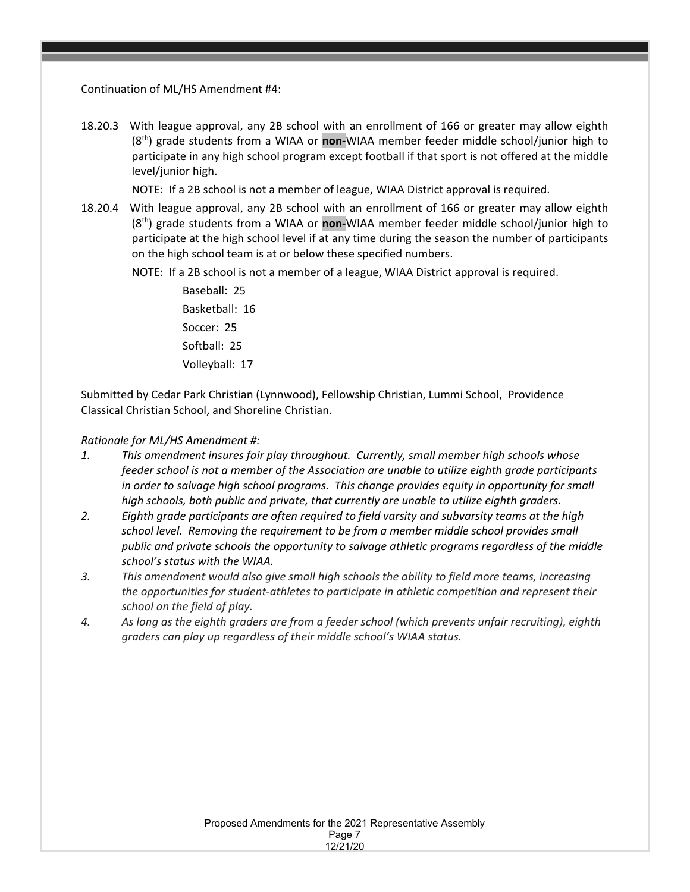Continuation of ML/HS Amendment #4:

18.20.3 With league approval, any 2B school with an enrollment of 166 or greater may allow eighth (8th) grade students from a WIAA or **non-**WIAA member feeder middle school/junior high to participate in any high school program except football if that sport is not offered at the middle level/junior high.

NOTE: If a 2B school is not a member of league, WIAA District approval is required.

18.20.4 With league approval, any 2B school with an enrollment of 166 or greater may allow eighth (8th) grade students from a WIAA or **non-**WIAA member feeder middle school/junior high to participate at the high school level if at any time during the season the number of participants on the high school team is at or below these specified numbers.

NOTE: If a 2B school is not a member of a league, WIAA District approval is required.

Baseball: 25 Basketball: 16 Soccer: 25 Softball: 25 Volleyball: 17

Submitted by Cedar Park Christian (Lynnwood), Fellowship Christian, Lummi School, Providence Classical Christian School, and Shoreline Christian.

## *Rationale for ML/HS Amendment #:*

- *1. This amendment insures fair play throughout. Currently, small member high schools whose feeder school is not a member of the Association are unable to utilize eighth grade participants in order to salvage high school programs. This change provides equity in opportunity for small high schools, both public and private, that currently are unable to utilize eighth graders.*
- *2. Eighth grade participants are often required to field varsity and subvarsity teams at the high school level. Removing the requirement to be from a member middle school provides small public and private schools the opportunity to salvage athletic programs regardless of the middle school's status with the WIAA.*
- *3. This amendment would also give small high schools the ability to field more teams, increasing the opportunities for student-athletes to participate in athletic competition and represent their school on the field of play.*
- *4. As long as the eighth graders are from a feeder school (which prevents unfair recruiting), eighth graders can play up regardless of their middle school's WIAA status.*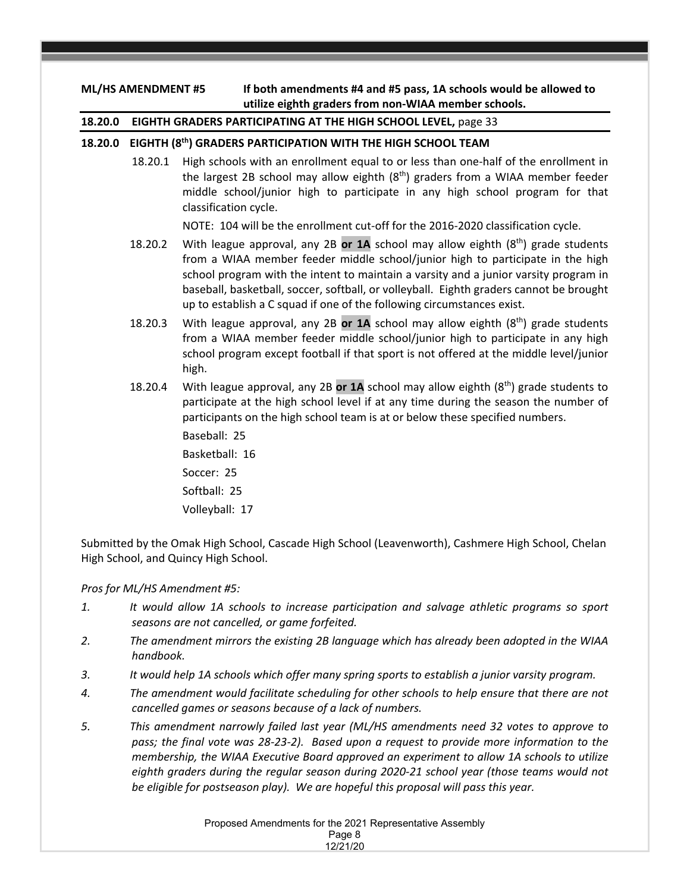## **ML/HS AMENDMENT #5 If both amendments #4 and #5 pass, 1A schools would be allowed to utilize eighth graders from non-WIAA member schools.**

## **18.20.0 EIGHTH GRADERS PARTICIPATING AT THE HIGH SCHOOL LEVEL,** page 33

## **18.20.0 EIGHTH (8th) GRADERS PARTICIPATION WITH THE HIGH SCHOOL TEAM**

18.20.1 High schools with an enrollment equal to or less than one-half of the enrollment in the largest 2B school may allow eighth  $(8<sup>th</sup>)$  graders from a WIAA member feeder middle school/junior high to participate in any high school program for that classification cycle.

NOTE: 104 will be the enrollment cut-off for the 2016-2020 classification cycle.

- 18.20.2 With league approval, any 2B **or 1A** school may allow eighth (8th) grade students from a WIAA member feeder middle school/junior high to participate in the high school program with the intent to maintain a varsity and a junior varsity program in baseball, basketball, soccer, softball, or volleyball. Eighth graders cannot be brought up to establish a C squad if one of the following circumstances exist.
- 18.20.3 With league approval, any 2B **or 1A** school may allow eighth (8th) grade students from a WIAA member feeder middle school/junior high to participate in any high school program except football if that sport is not offered at the middle level/junior high.
- 18.20.4 With league approval, any 2B **or 1A** school may allow eighth (8th) grade students to participate at the high school level if at any time during the season the number of participants on the high school team is at or below these specified numbers.

Baseball: 25 Basketball: 16 Soccer: 25 Softball: 25

Volleyball: 17

Submitted by the Omak High School, Cascade High School (Leavenworth), Cashmere High School, Chelan High School, and Quincy High School.

## *Pros for ML/HS Amendment #5:*

- *1. It would allow 1A schools to increase participation and salvage athletic programs so sport seasons are not cancelled, or game forfeited.*
- *2. The amendment mirrors the existing 2B language which has already been adopted in the WIAA handbook.*
- *3. It would help 1A schools which offer many spring sports to establish a junior varsity program.*
- *4. The amendment would facilitate scheduling for other schools to help ensure that there are not cancelled games or seasons because of a lack of numbers.*
- *5. This amendment narrowly failed last year (ML/HS amendments need 32 votes to approve to pass; the final vote was 28-23-2). Based upon a request to provide more information to the membership, the WIAA Executive Board approved an experiment to allow 1A schools to utilize eighth graders during the regular season during 2020-21 school year (those teams would not be eligible for postseason play). We are hopeful this proposal will pass this year.*

Proposed Amendments for the 2021 Representative Assembly Page 8 12/21/20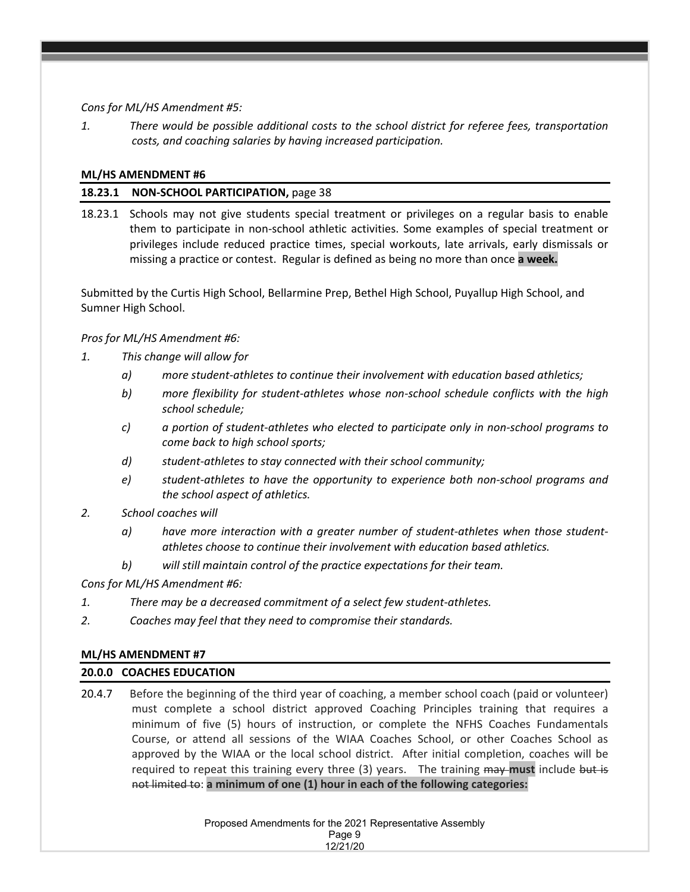*Cons for ML/HS Amendment #5:*

*1. There would be possible additional costs to the school district for referee fees, transportation costs, and coaching salaries by having increased participation.*

### **ML/HS AMENDMENT #6**

### **18.23.1 NON-SCHOOL PARTICIPATION,** page 38

18.23.1 Schools may not give students special treatment or privileges on a regular basis to enable them to participate in non-school athletic activities. Some examples of special treatment or privileges include reduced practice times, special workouts, late arrivals, early dismissals or missing a practice or contest. Regular is defined as being no more than once **a week.**

Submitted by the Curtis High School, Bellarmine Prep, Bethel High School, Puyallup High School, and Sumner High School.

### *Pros for ML/HS Amendment #6:*

- *1. This change will allow for* 
	- *a) more student-athletes to continue their involvement with education based athletics;*
	- *b) more flexibility for student-athletes whose non-school schedule conflicts with the high school schedule;*
	- *c) a portion of student-athletes who elected to participate only in non-school programs to come back to high school sports;*
	- *d) student-athletes to stay connected with their school community;*
	- *e) student-athletes to have the opportunity to experience both non-school programs and the school aspect of athletics.*
- *2. School coaches will* 
	- *a) have more interaction with a greater number of student-athletes when those studentathletes choose to continue their involvement with education based athletics.*
	- *b) will still maintain control of the practice expectations for their team.*

*Cons for ML/HS Amendment #6:*

- *1. There may be a decreased commitment of a select few student-athletes.*
- *2. Coaches may feel that they need to compromise their standards.*

### **ML/HS AMENDMENT #7**

### **20.0.0 COACHES EDUCATION**

20.4.7 Before the beginning of the third year of coaching, a member school coach (paid or volunteer) must complete a school district approved Coaching Principles training that requires a minimum of five (5) hours of instruction, or complete the NFHS Coaches Fundamentals Course, or attend all sessions of the WIAA Coaches School, or other Coaches School as approved by the WIAA or the local school district. After initial completion, coaches will be required to repeat this training every three (3) years. The training may must include but is not limited to: **a minimum of one (1) hour in each of the following categories:**

> Proposed Amendments for the 2021 Representative Assembly Page 9 12/21/20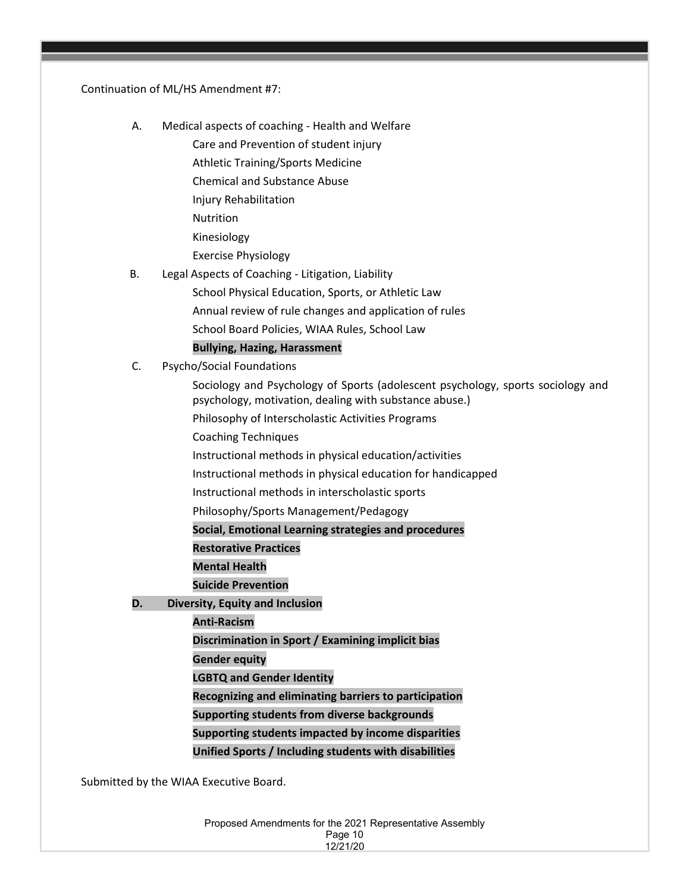#### Continuation of ML/HS Amendment #7:

A. Medical aspects of coaching - Health and Welfare

Care and Prevention of student injury

- Athletic Training/Sports Medicine
- Chemical and Substance Abuse
- Injury Rehabilitation
- Nutrition
- Kinesiology
- Exercise Physiology
- B. Legal Aspects of Coaching Litigation, Liability
	- School Physical Education, Sports, or Athletic Law
	- Annual review of rule changes and application of rules
	- School Board Policies, WIAA Rules, School Law

## **Bullying, Hazing, Harassment**

C. Psycho/Social Foundations

Sociology and Psychology of Sports (adolescent psychology, sports sociology and psychology, motivation, dealing with substance abuse.)

- Philosophy of Interscholastic Activities Programs
- Coaching Techniques
- Instructional methods in physical education/activities
- Instructional methods in physical education for handicapped
- Instructional methods in interscholastic sports
- Philosophy/Sports Management/Pedagogy

## **Social, Emotional Learning strategies and procedures**

- **Restorative Practices**
- **Mental Health**
- **Suicide Prevention**
- **D. Diversity, Equity and Inclusion**
	- **Anti-Racism**
	- **Discrimination in Sport / Examining implicit bias**
	- **Gender equity**
	- **LGBTQ and Gender Identity**
	- **Recognizing and eliminating barriers to participation**
	- **Supporting students from diverse backgrounds**
	- **Supporting students impacted by income disparities**
	- **Unified Sports / Including students with disabilities**

Submitted by the WIAA Executive Board.

Proposed Amendments for the 2021 Representative Assembly Page 10 12/21/20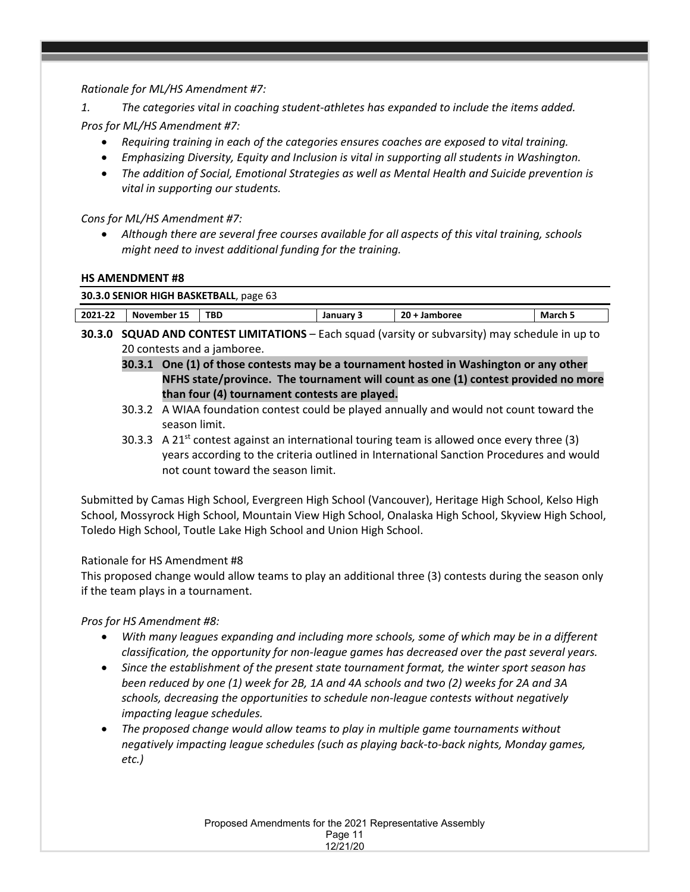*Rationale for ML/HS Amendment #7:* 

*1. The categories vital in coaching student-athletes has expanded to include the items added.*

*Pros for ML/HS Amendment #7:* 

- *Requiring training in each of the categories ensures coaches are exposed to vital training.*
- *Emphasizing Diversity, Equity and Inclusion is vital in supporting all students in Washington.*
- *The addition of Social, Emotional Strategies as well as Mental Health and Suicide prevention is vital in supporting our students.*

*Cons for ML/HS Amendment #7:* 

• *Although there are several free courses available for all aspects of this vital training, schools might need to invest additional funding for the training.*

## **HS AMENDMENT #8**

| 30.3.0 SENIOR HIGH BASKETBALL, page 63 |             |      |           |               |         |  |  |  |  |  |
|----------------------------------------|-------------|------|-----------|---------------|---------|--|--|--|--|--|
| 2021-22                                | November 15 | TBD. | January 3 | 20 + Jamboree | March 5 |  |  |  |  |  |

- **30.3.0 SQUAD AND CONTEST LIMITATIONS** Each squad (varsity or subvarsity) may schedule in up to 20 contests and a jamboree.
	- **30.3.1 One (1) of those contests may be a tournament hosted in Washington or any other NFHS state/province. The tournament will count as one (1) contest provided no more than four (4) tournament contests are played.**
	- 30.3.2 A WIAA foundation contest could be played annually and would not count toward the season limit.
	- 30.3.3 A 21<sup>st</sup> contest against an international touring team is allowed once every three (3) years according to the criteria outlined in International Sanction Procedures and would not count toward the season limit.

Submitted by Camas High School, Evergreen High School (Vancouver), Heritage High School, Kelso High School, Mossyrock High School, Mountain View High School, Onalaska High School, Skyview High School, Toledo High School, Toutle Lake High School and Union High School.

## Rationale for HS Amendment #8

This proposed change would allow teams to play an additional three (3) contests during the season only if the team plays in a tournament.

*Pros for HS Amendment #8:* 

- *With many leagues expanding and including more schools, some of which may be in a different classification, the opportunity for non-league games has decreased over the past several years.*
- *Since the establishment of the present state tournament format, the winter sport season has been reduced by one (1) week for 2B, 1A and 4A schools and two (2) weeks for 2A and 3A schools, decreasing the opportunities to schedule non-league contests without negatively impacting league schedules.*
- *The proposed change would allow teams to play in multiple game tournaments without negatively impacting league schedules (such as playing back-to-back nights, Monday games, etc.)*

Proposed Amendments for the 2021 Representative Assembly Page 11 12/21/20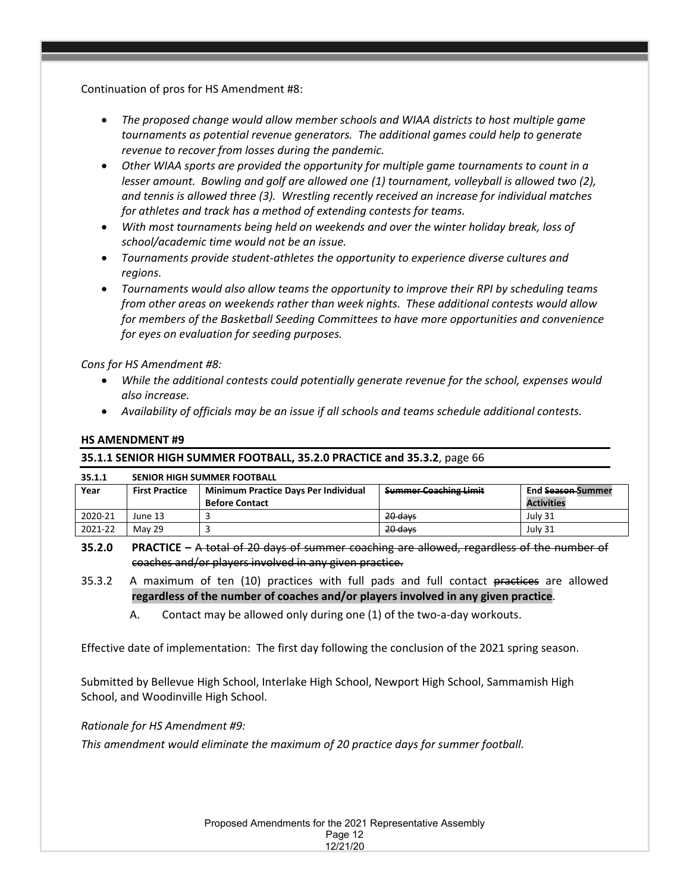Continuation of pros for HS Amendment #8:

- *The proposed change would allow member schools and WIAA districts to host multiple game tournaments as potential revenue generators. The additional games could help to generate revenue to recover from losses during the pandemic.*
- *Other WIAA sports are provided the opportunity for multiple game tournaments to count in a lesser amount. Bowling and golf are allowed one (1) tournament, volleyball is allowed two (2), and tennis is allowed three (3). Wrestling recently received an increase for individual matches for athletes and track has a method of extending contests for teams.*
- *With most tournaments being held on weekends and over the winter holiday break, loss of school/academic time would not be an issue.*
- *Tournaments provide student-athletes the opportunity to experience diverse cultures and regions.*
- *Tournaments would also allow teams the opportunity to improve their RPI by scheduling teams from other areas on weekends rather than week nights. These additional contests would allow for members of the Basketball Seeding Committees to have more opportunities and convenience for eyes on evaluation for seeding purposes.*

*Cons for HS Amendment #8:* 

- *While the additional contests could potentially generate revenue for the school, expenses would also increase.*
- *Availability of officials may be an issue if all schools and teams schedule additional contests.*

### **HS AMENDMENT #9**

### **35.1.1 SENIOR HIGH SUMMER FOOTBALL, 35.2.0 PRACTICE and 35.3.2**, page 66

| 35.1.1  | <b>SENIOR HIGH SUMMER FOOTBALL</b> |                                                                                                              |         |                   |  |  |  |
|---------|------------------------------------|--------------------------------------------------------------------------------------------------------------|---------|-------------------|--|--|--|
| Year    | <b>First Practice</b>              | <b>Summer Coaching Limit</b><br><b>Minimum Practice Days Per Individual</b><br>End <del>Season </del> Summer |         |                   |  |  |  |
|         |                                    | <b>Before Contact</b>                                                                                        |         | <b>Activities</b> |  |  |  |
| 2020-21 | June 13                            |                                                                                                              | 20 days | July 31           |  |  |  |
| 2021-22 | May 29                             |                                                                                                              | 20 days | July 31           |  |  |  |

**35.2.0 PRACTICE –** A total of 20 days of summer coaching are allowed, regardless of the number of coaches and/or players involved in any given practice.

- 35.3.2 A maximum of ten (10) practices with full pads and full contact practices are allowed **regardless of the number of coaches and/or players involved in any given practice**.
	- A. Contact may be allowed only during one (1) of the two-a-day workouts.

Effective date of implementation: The first day following the conclusion of the 2021 spring season.

Submitted by Bellevue High School, Interlake High School, Newport High School, Sammamish High School, and Woodinville High School.

### *Rationale for HS Amendment #9:*

*This amendment would eliminate the maximum of 20 practice days for summer football.*

Proposed Amendments for the 2021 Representative Assembly Page 12 12/21/20